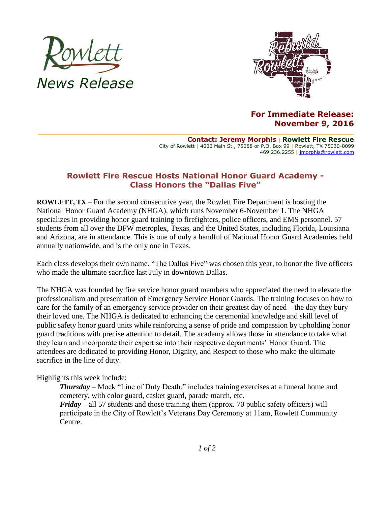



## **For Immediate Release: November 9, 2016**

**Contact: Jeremy Morphis** | **Rowlett Fire Rescue** City of Rowlett | 4000 Main St., 75088 or P.O. Box 99 | Rowlett, TX 75030-0099 469.236.2255 | [jmorphis@rowlett.com](mailto:jmorphis@rowlett.com)

## **Rowlett Fire Rescue Hosts National Honor Guard Academy - Class Honors the "Dallas Five"**

**ROWLETT, TX –** For the second consecutive year, the Rowlett Fire Department is hosting the National Honor Guard Academy (NHGA), which runs November 6-November 1. The NHGA specializes in providing honor guard training to firefighters, police officers, and EMS personnel. 57 students from all over the DFW metroplex, Texas, and the United States, including Florida, Louisiana and Arizona, are in attendance. This is one of only a handful of National Honor Guard Academies held annually nationwide, and is the only one in Texas.

Each class develops their own name. "The Dallas Five" was chosen this year, to honor the five officers who made the ultimate sacrifice last July in downtown Dallas.

The NHGA was founded by fire service honor guard members who appreciated the need to elevate the professionalism and presentation of Emergency Service Honor Guards. The training focuses on how to care for the family of an emergency service provider on their greatest day of need – the day they bury their loved one. The NHGA is dedicated to enhancing the ceremonial knowledge and skill level of public safety honor guard units while reinforcing a sense of pride and compassion by upholding honor guard traditions with precise attention to detail. The academy allows those in attendance to take what they learn and incorporate their expertise into their respective departments' Honor Guard. The attendees are dedicated to providing Honor, Dignity, and Respect to those who make the ultimate sacrifice in the line of duty.

## Highlights this week include:

*Thursday* – Mock "Line of Duty Death," includes training exercises at a funeral home and cemetery, with color guard, casket guard, parade march, etc. *Friday* – all 57 students and those training them (approx. 70 public safety officers) will participate in the City of Rowlett's Veterans Day Ceremony at 11am, Rowlett Community Centre.